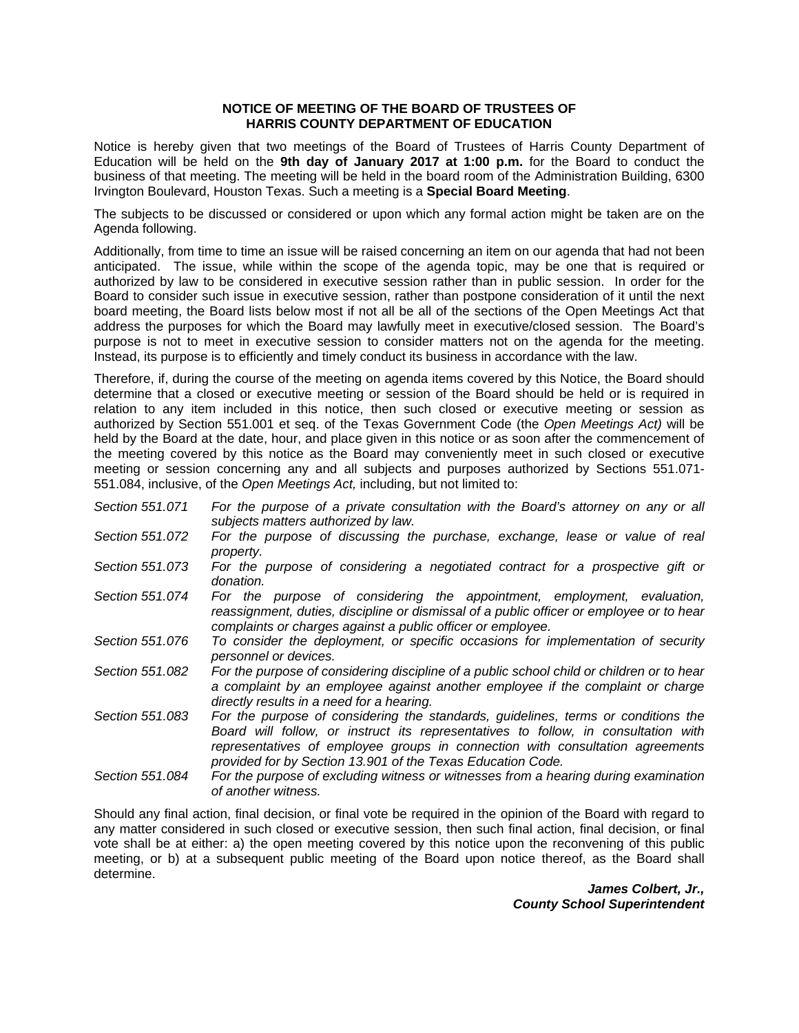## **NOTICE OF MEETING OF THE BOARD OF TRUSTEES OF HARRIS COUNTY DEPARTMENT OF EDUCATION**

Notice is hereby given that two meetings of the Board of Trustees of Harris County Department of Education will be held on the **9th day of January 2017 at 1:00 p.m.** for the Board to conduct the business of that meeting. The meeting will be held in the board room of the Administration Building, 6300 Irvington Boulevard, Houston Texas. Such a meeting is a **Special Board Meeting**.

The subjects to be discussed or considered or upon which any formal action might be taken are on the Agenda following.

Additionally, from time to time an issue will be raised concerning an item on our agenda that had not been anticipated. The issue, while within the scope of the agenda topic, may be one that is required or authorized by law to be considered in executive session rather than in public session. In order for the Board to consider such issue in executive session, rather than postpone consideration of it until the next board meeting, the Board lists below most if not all be all of the sections of the Open Meetings Act that address the purposes for which the Board may lawfully meet in executive/closed session. The Board's purpose is not to meet in executive session to consider matters not on the agenda for the meeting. Instead, its purpose is to efficiently and timely conduct its business in accordance with the law.

Therefore, if, during the course of the meeting on agenda items covered by this Notice, the Board should determine that a closed or executive meeting or session of the Board should be held or is required in relation to any item included in this notice, then such closed or executive meeting or session as authorized by Section 551.001 et seq. of the Texas Government Code (the *Open Meetings Act)* will be held by the Board at the date, hour, and place given in this notice or as soon after the commencement of the meeting covered by this notice as the Board may conveniently meet in such closed or executive meeting or session concerning any and all subjects and purposes authorized by Sections 551.071- 551.084, inclusive, of the *Open Meetings Act,* including, but not limited to:

- *Section 551.071 For the purpose of a private consultation with the Board's attorney on any or all subjects matters authorized by law.*
- *Section 551.072 For the purpose of discussing the purchase, exchange, lease or value of real property.*
- *Section 551.073 For the purpose of considering a negotiated contract for a prospective gift or donation.*
- *Section 551.074 For the purpose of considering the appointment, employment, evaluation, reassignment, duties, discipline or dismissal of a public officer or employee or to hear complaints or charges against a public officer or employee.*
- *Section 551.076 To consider the deployment, or specific occasions for implementation of security personnel or devices.*
- *Section 551.082 For the purpose of considering discipline of a public school child or children or to hear a complaint by an employee against another employee if the complaint or charge directly results in a need for a hearing.*
- *Section 551.083 For the purpose of considering the standards, guidelines, terms or conditions the Board will follow, or instruct its representatives to follow, in consultation with representatives of employee groups in connection with consultation agreements provided for by Section 13.901 of the Texas Education Code.*
- *Section 551.084 For the purpose of excluding witness or witnesses from a hearing during examination of another witness.*

Should any final action, final decision, or final vote be required in the opinion of the Board with regard to any matter considered in such closed or executive session, then such final action, final decision, or final vote shall be at either: a) the open meeting covered by this notice upon the reconvening of this public meeting, or b) at a subsequent public meeting of the Board upon notice thereof, as the Board shall determine.

*James Colbert, Jr., County School Superintendent*